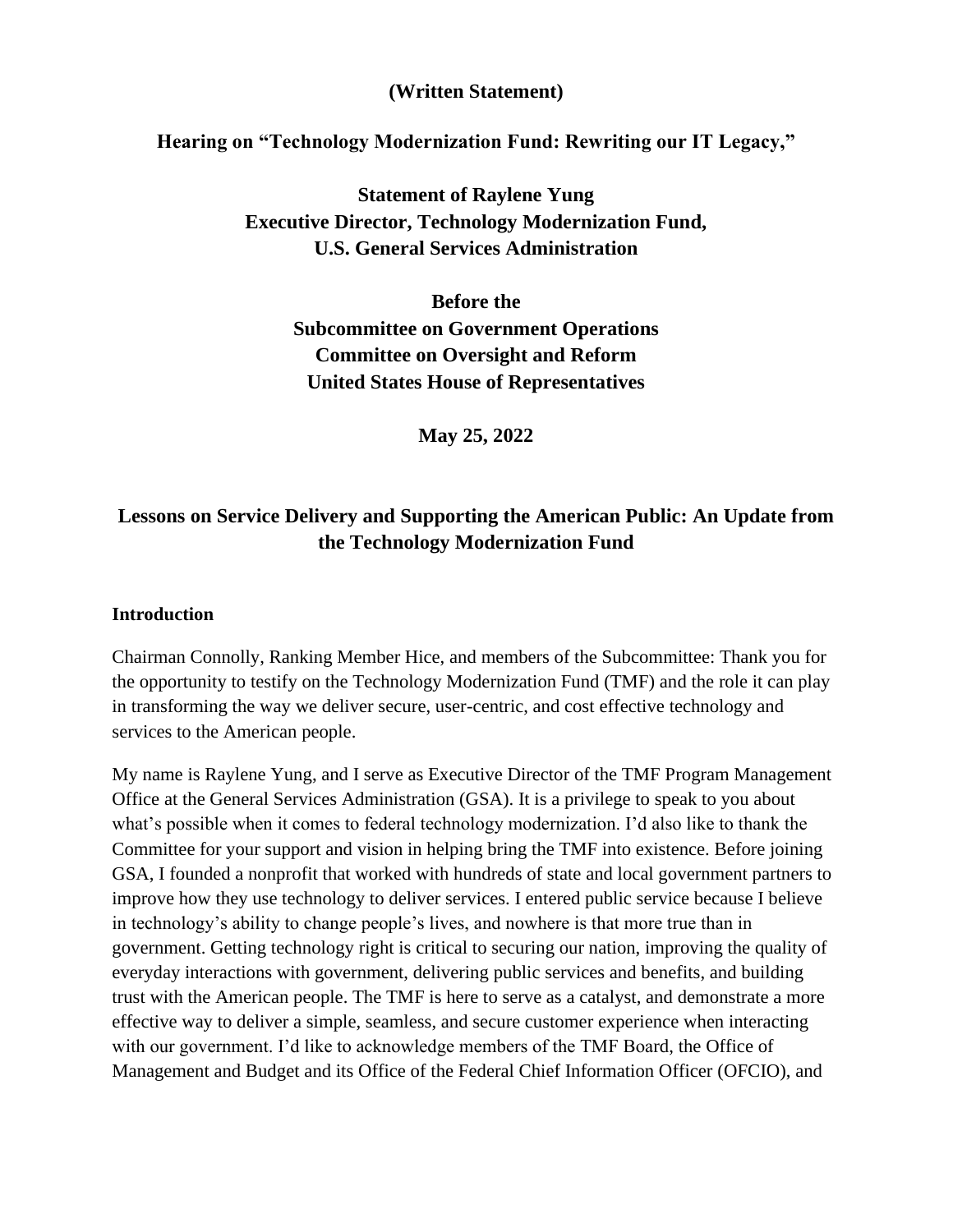#### **(Written Statement)**

#### **Hearing on "Technology Modernization Fund: Rewriting our IT Legacy,"**

**Statement of Raylene Yung Executive Director, Technology Modernization Fund, U.S. General Services Administration**

**Before the Subcommittee on Government Operations Committee on Oversight and Reform United States House of Representatives**

**May 25, 2022**

# **Lessons on Service Delivery and Supporting the American Public: An Update from the Technology Modernization Fund**

#### **Introduction**

Chairman Connolly, Ranking Member Hice, and members of the Subcommittee: Thank you for the opportunity to testify on the Technology Modernization Fund (TMF) and the role it can play in transforming the way we deliver secure, user-centric, and cost effective technology and services to the American people.

My name is Raylene Yung, and I serve as Executive Director of the TMF Program Management Office at the General Services Administration (GSA). It is a privilege to speak to you about what's possible when it comes to federal technology modernization. I'd also like to thank the Committee for your support and vision in helping bring the TMF into existence. Before joining GSA, I founded a nonprofit that worked with hundreds of state and local government partners to improve how they use technology to deliver services. I entered public service because I believe in technology's ability to change people's lives, and nowhere is that more true than in government. Getting technology right is critical to securing our nation, improving the quality of everyday interactions with government, delivering public services and benefits, and building trust with the American people. The TMF is here to serve as a catalyst, and demonstrate a more effective way to deliver a simple, seamless, and secure customer experience when interacting with our government. I'd like to acknowledge members of the TMF Board, the Office of Management and Budget and its Office of the Federal Chief Information Officer (OFCIO), and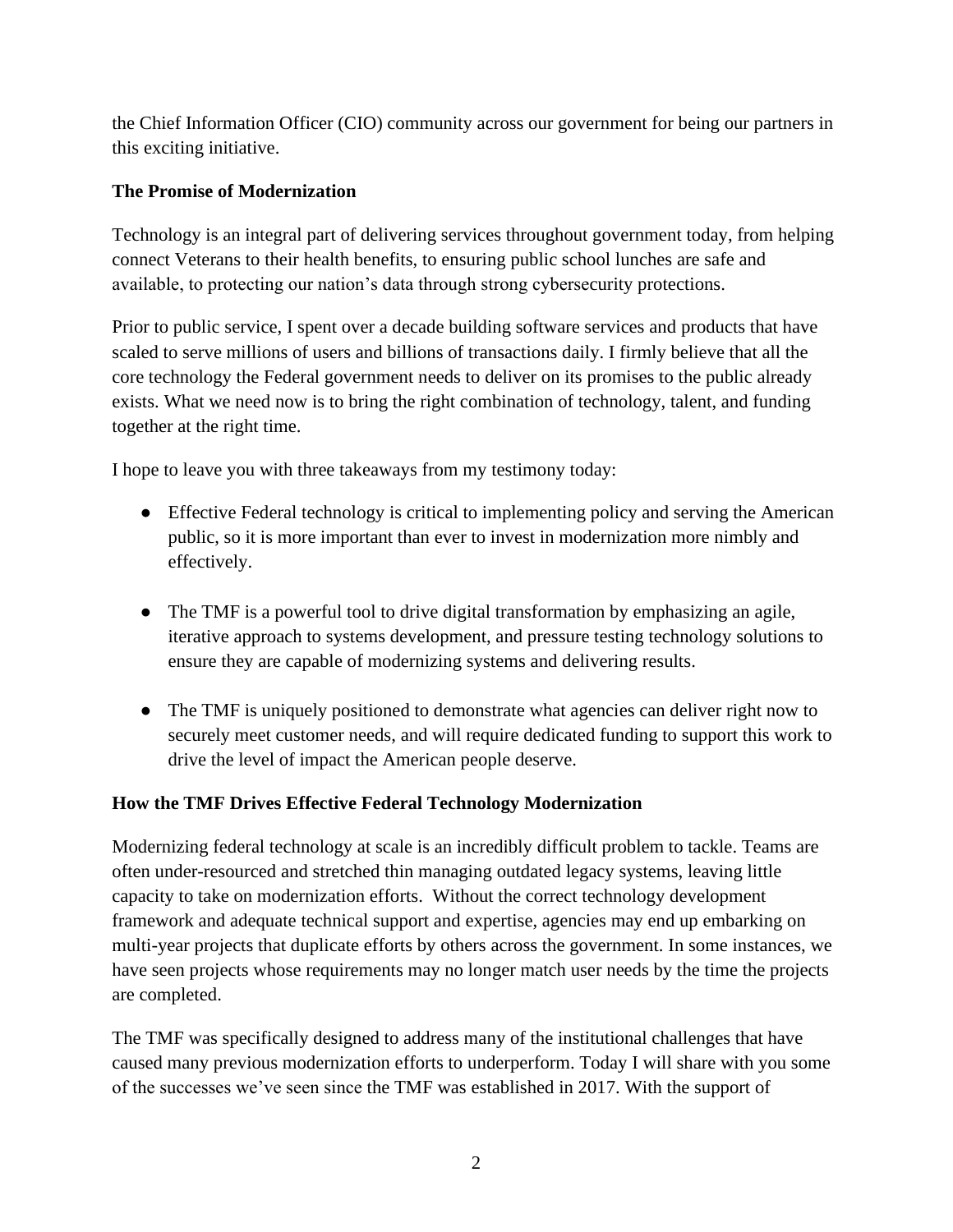the Chief Information Officer (CIO) community across our government for being our partners in this exciting initiative.

## **The Promise of Modernization**

Technology is an integral part of delivering services throughout government today, from helping connect Veterans to their health benefits, to ensuring public school lunches are safe and available, to protecting our nation's data through strong cybersecurity protections.

Prior to public service, I spent over a decade building software services and products that have scaled to serve millions of users and billions of transactions daily. I firmly believe that all the core technology the Federal government needs to deliver on its promises to the public already exists. What we need now is to bring the right combination of technology, talent, and funding together at the right time.

I hope to leave you with three takeaways from my testimony today:

- Effective Federal technology is critical to implementing policy and serving the American public, so it is more important than ever to invest in modernization more nimbly and effectively.
- The TMF is a powerful tool to drive digital transformation by emphasizing an agile, iterative approach to systems development, and pressure testing technology solutions to ensure they are capable of modernizing systems and delivering results.
- The TMF is uniquely positioned to demonstrate what agencies can deliver right now to securely meet customer needs, and will require dedicated funding to support this work to drive the level of impact the American people deserve.

## **How the TMF Drives Effective Federal Technology Modernization**

Modernizing federal technology at scale is an incredibly difficult problem to tackle. Teams are often under-resourced and stretched thin managing outdated legacy systems, leaving little capacity to take on modernization efforts. Without the correct technology development framework and adequate technical support and expertise, agencies may end up embarking on multi-year projects that duplicate efforts by others across the government. In some instances, we have seen projects whose requirements may no longer match user needs by the time the projects are completed.

The TMF was specifically designed to address many of the institutional challenges that have caused many previous modernization efforts to underperform. Today I will share with you some of the successes we've seen since the TMF was established in 2017. With the support of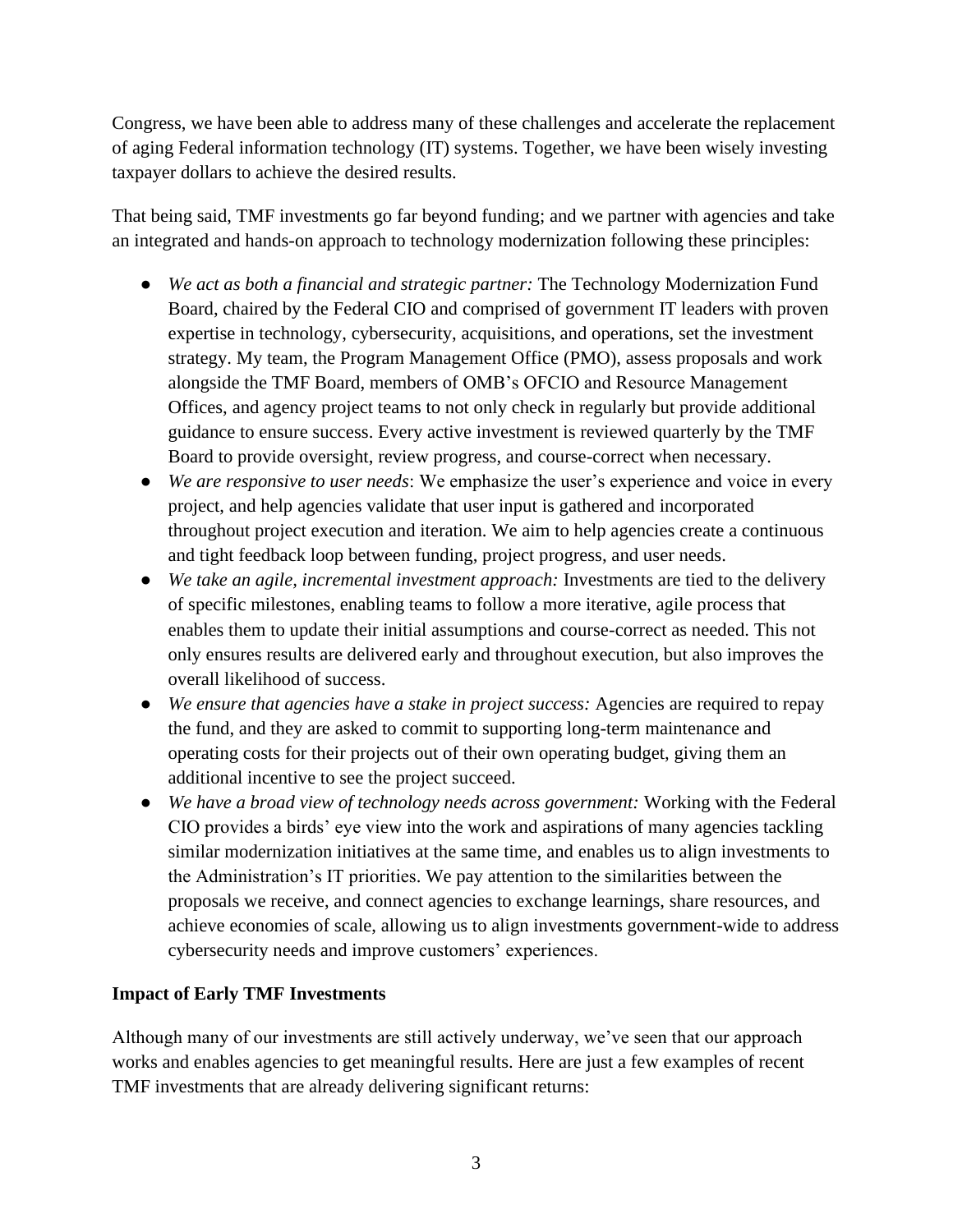Congress, we have been able to address many of these challenges and accelerate the replacement of aging Federal information technology (IT) systems. Together, we have been wisely investing taxpayer dollars to achieve the desired results.

That being said, TMF investments go far beyond funding; and we partner with agencies and take an integrated and hands-on approach to technology modernization following these principles:

- *We act as both a financial and strategic partner:* The Technology Modernization Fund Board, chaired by the Federal CIO and comprised of government IT leaders with proven expertise in technology, cybersecurity, acquisitions, and operations, set the investment strategy. My team, the Program Management Office (PMO), assess proposals and work alongside the TMF Board, members of OMB's OFCIO and Resource Management Offices, and agency project teams to not only check in regularly but provide additional guidance to ensure success. Every active investment is reviewed quarterly by the TMF Board to provide oversight, review progress, and course-correct when necessary.
- *We are responsive to user needs*: We emphasize the user's experience and voice in every project, and help agencies validate that user input is gathered and incorporated throughout project execution and iteration. We aim to help agencies create a continuous and tight feedback loop between funding, project progress, and user needs.
- *We take an agile, incremental investment approach:* Investments are tied to the delivery of specific milestones, enabling teams to follow a more iterative, agile process that enables them to update their initial assumptions and course-correct as needed. This not only ensures results are delivered early and throughout execution, but also improves the overall likelihood of success.
- *We ensure that agencies have a stake in project success:* Agencies are required to repay the fund, and they are asked to commit to supporting long-term maintenance and operating costs for their projects out of their own operating budget, giving them an additional incentive to see the project succeed.
- *We have a broad view of technology needs across government:* Working with the Federal CIO provides a birds' eye view into the work and aspirations of many agencies tackling similar modernization initiatives at the same time, and enables us to align investments to the Administration's IT priorities. We pay attention to the similarities between the proposals we receive, and connect agencies to exchange learnings, share resources, and achieve economies of scale, allowing us to align investments government-wide to address cybersecurity needs and improve customers' experiences.

## **Impact of Early TMF Investments**

Although many of our investments are still actively underway, we've seen that our approach works and enables agencies to get meaningful results. Here are just a few examples of recent TMF investments that are already delivering significant returns: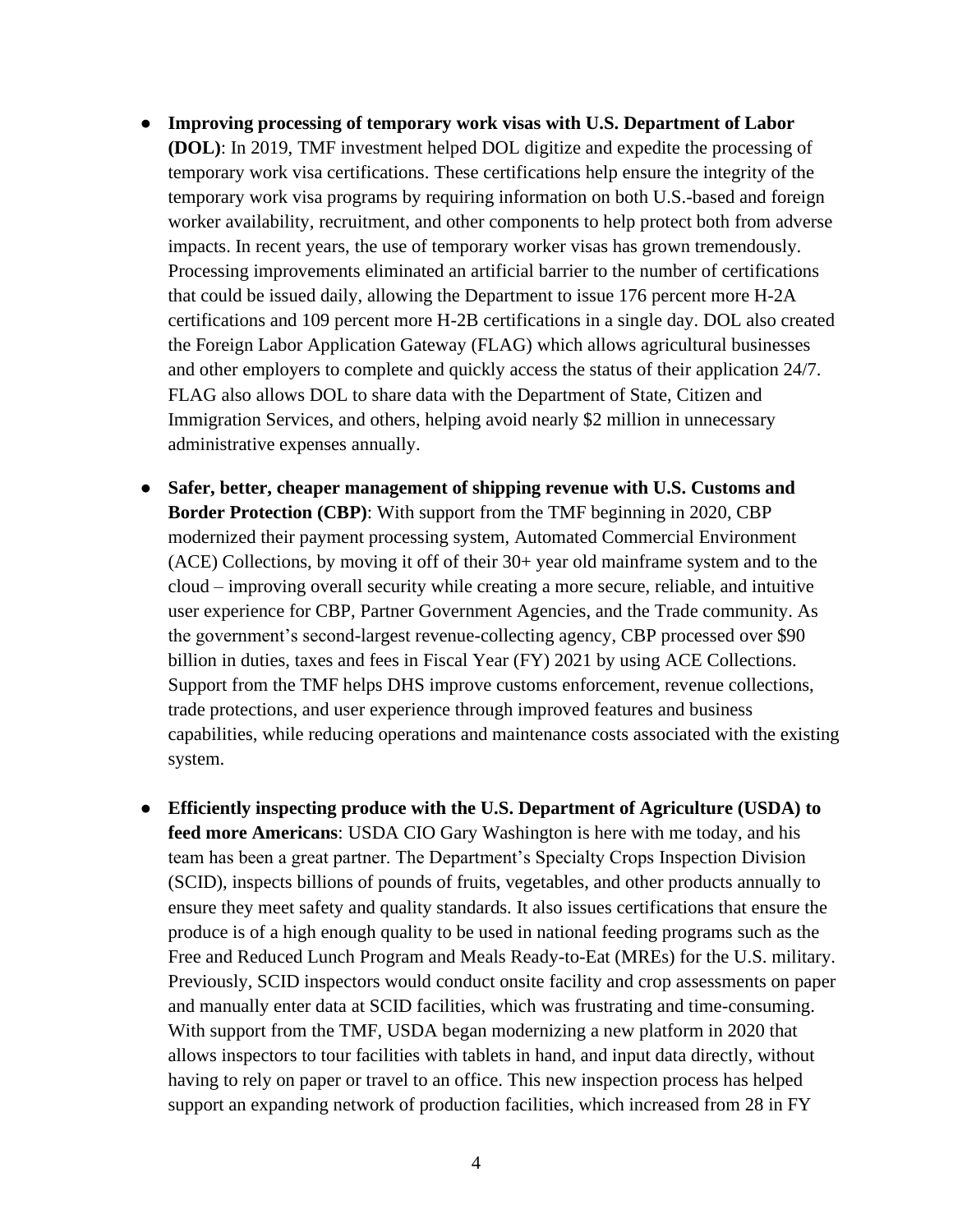- **Improving processing of temporary work visas with U.S. Department of Labor (DOL)**: In 2019, TMF investment helped DOL digitize and expedite the processing of temporary work visa certifications. These certifications help ensure the integrity of the temporary work visa programs by requiring information on both U.S.-based and foreign worker availability, recruitment, and other components to help protect both from adverse impacts. In recent years, the use of temporary worker visas has grown tremendously. Processing improvements eliminated an artificial barrier to the number of certifications that could be issued daily, allowing the Department to issue 176 percent more H-2A certifications and 109 percent more H-2B certifications in a single day. DOL also created the Foreign Labor Application Gateway (FLAG) which allows agricultural businesses and other employers to complete and quickly access the status of their application 24/7. FLAG also allows DOL to share data with the Department of State, Citizen and Immigration Services, and others, helping avoid nearly \$2 million in unnecessary administrative expenses annually.
- **Safer, better, cheaper management of shipping revenue with U.S. Customs and Border Protection (CBP)**: With support from the TMF beginning in 2020, CBP modernized their payment processing system, Automated Commercial Environment (ACE) Collections, by moving it off of their 30+ year old mainframe system and to the cloud – improving overall security while creating a more secure, reliable, and intuitive user experience for CBP, Partner Government Agencies, and the Trade community. As the government's second-largest revenue-collecting agency, CBP processed over \$90 billion in duties, taxes and fees in Fiscal Year (FY) 2021 by using ACE Collections. Support from the TMF helps DHS improve customs enforcement, revenue collections, trade protections, and user experience through improved features and business capabilities, while reducing operations and maintenance costs associated with the existing system.
- **Efficiently inspecting produce with the U.S. Department of Agriculture (USDA) to feed more Americans**: USDA CIO Gary Washington is here with me today, and his team has been a great partner. The Department's Specialty Crops Inspection Division (SCID), inspects billions of pounds of fruits, vegetables, and other products annually to ensure they meet safety and quality standards. It also issues certifications that ensure the produce is of a high enough quality to be used in national feeding programs such as the Free and Reduced Lunch Program and Meals Ready-to-Eat (MREs) for the U.S. military. Previously, SCID inspectors would conduct onsite facility and crop assessments on paper and manually enter data at SCID facilities, which was frustrating and time-consuming. With support from the TMF, USDA began modernizing a new platform in 2020 that allows inspectors to tour facilities with tablets in hand, and input data directly, without having to rely on paper or travel to an office. This new inspection process has helped support an expanding network of production facilities, which increased from 28 in FY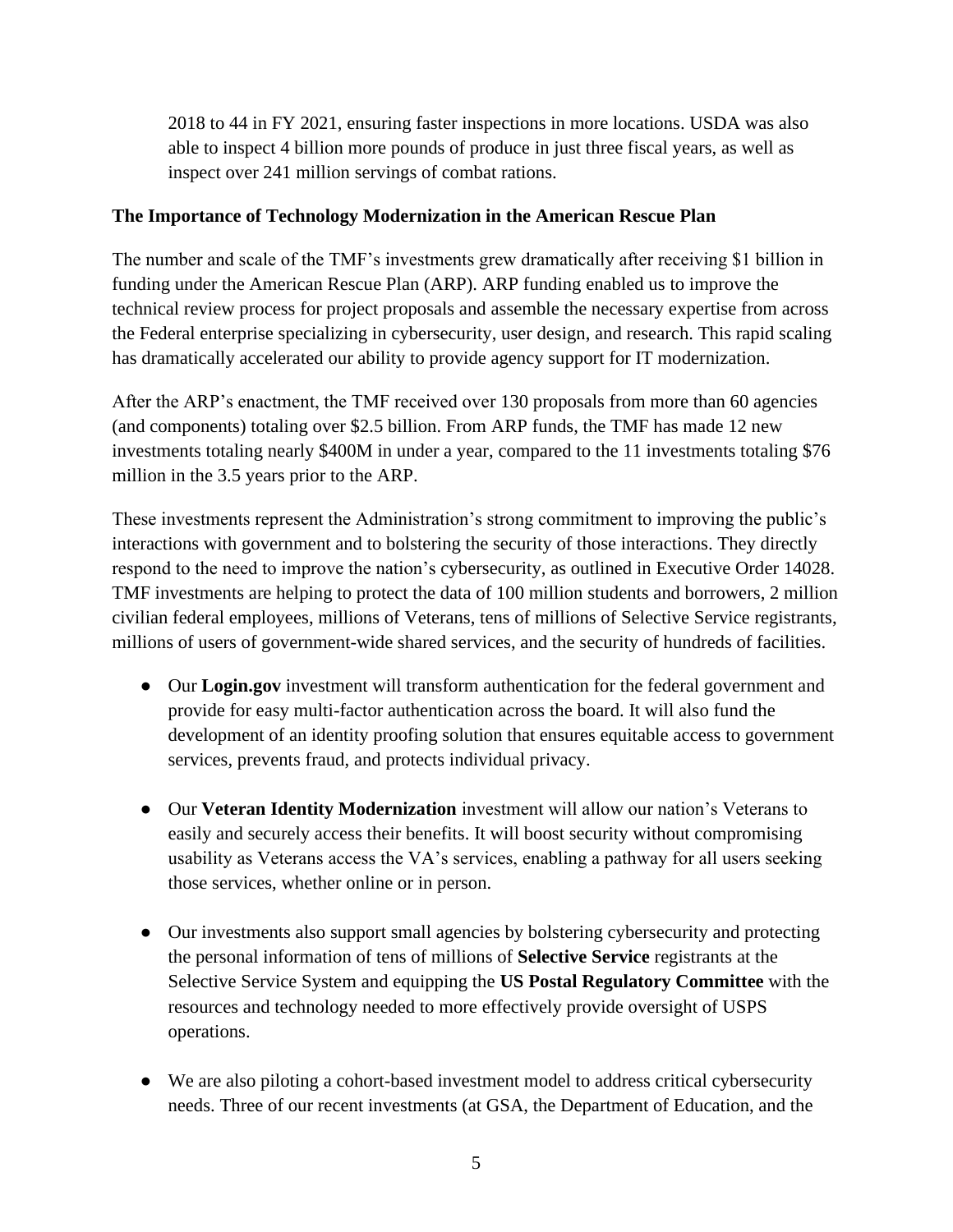2018 to 44 in FY 2021, ensuring faster inspections in more locations. USDA was also able to inspect 4 billion more pounds of produce in just three fiscal years, as well as inspect over 241 million servings of combat rations.

### **The Importance of Technology Modernization in the American Rescue Plan**

The number and scale of the TMF's investments grew dramatically after receiving \$1 billion in funding under the American Rescue Plan (ARP). ARP funding enabled us to improve the technical review process for project proposals and assemble the necessary expertise from across the Federal enterprise specializing in cybersecurity, user design, and research. This rapid scaling has dramatically accelerated our ability to provide agency support for IT modernization.

After the ARP's enactment, the TMF received over 130 proposals from more than 60 agencies (and components) totaling over \$2.5 billion. From ARP funds, the TMF has made 12 new investments totaling nearly \$400M in under a year, compared to the 11 investments totaling \$76 million in the 3.5 years prior to the ARP.

These investments represent the Administration's strong commitment to improving the public's interactions with government and to bolstering the security of those interactions. They directly respond to the need to improve the nation's cybersecurity, as outlined in Executive Order 14028. TMF investments are helping to protect the data of 100 million students and borrowers, 2 million civilian federal employees, millions of Veterans, tens of millions of Selective Service registrants, millions of users of government-wide shared services, and the security of hundreds of facilities.

- Our **Login.gov** investment will transform authentication for the federal government and provide for easy multi-factor authentication across the board. It will also fund the development of an identity proofing solution that ensures equitable access to government services, prevents fraud, and protects individual privacy.
- Our **Veteran Identity Modernization** investment will allow our nation's Veterans to easily and securely access their benefits. It will boost security without compromising usability as Veterans access the VA's services, enabling a pathway for all users seeking those services, whether online or in person.
- Our investments also support small agencies by bolstering cybersecurity and protecting the personal information of tens of millions of **Selective Service** registrants at the Selective Service System and equipping the **US Postal Regulatory Committee** with the resources and technology needed to more effectively provide oversight of USPS operations.
- We are also piloting a cohort-based investment model to address critical cybersecurity needs. Three of our recent investments (at GSA, the Department of Education, and the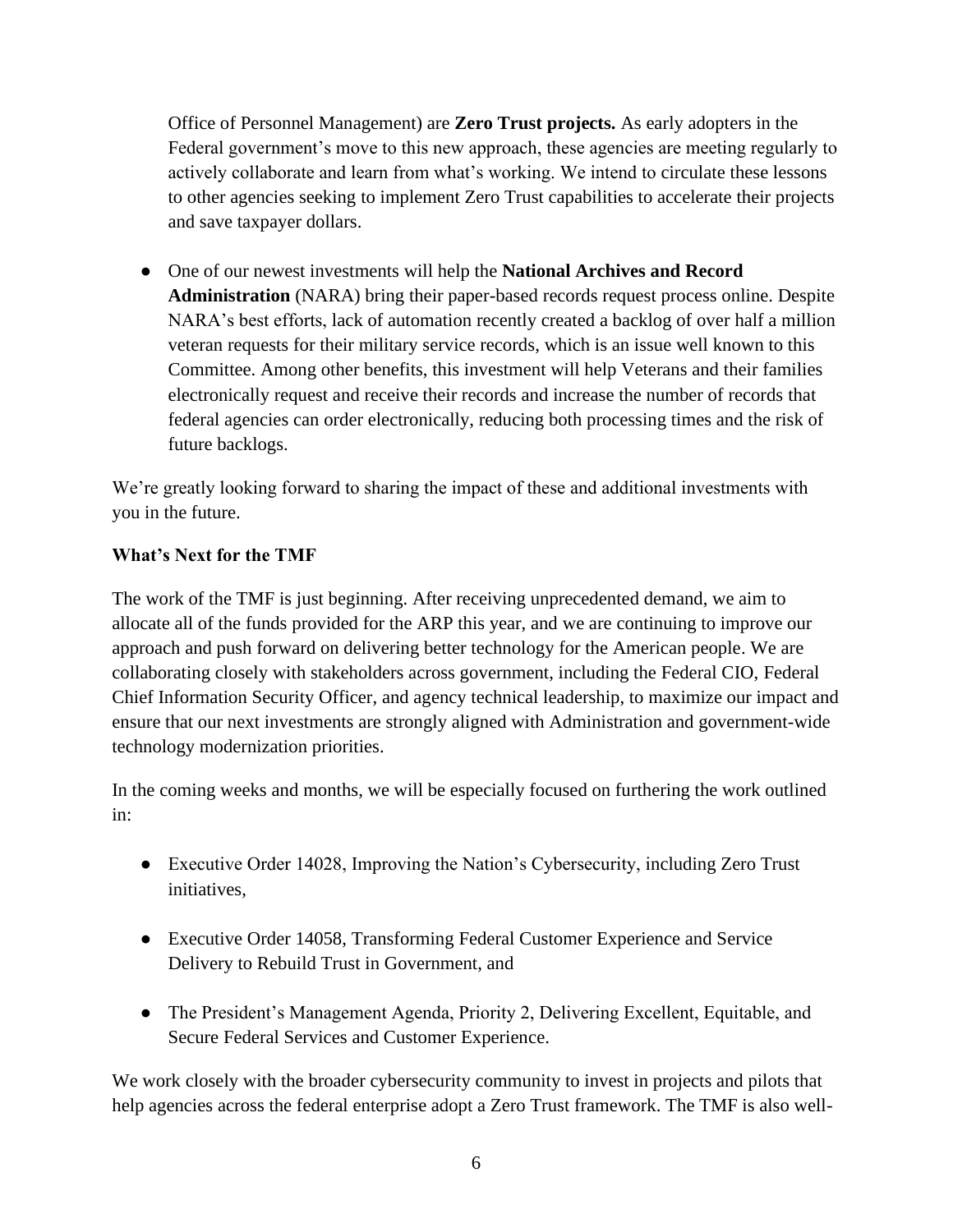Office of Personnel Management) are **Zero Trust projects.** As early adopters in the Federal government's move to this new approach, these agencies are meeting regularly to actively collaborate and learn from what's working. We intend to circulate these lessons to other agencies seeking to implement Zero Trust capabilities to accelerate their projects and save taxpayer dollars.

● One of our newest investments will help the **National Archives and Record Administration** (NARA) bring their paper-based records request process online. Despite NARA's best efforts, lack of automation recently created a backlog of over half a million veteran requests for their military service records, which is an issue well known to this Committee. Among other benefits, this investment will help Veterans and their families electronically request and receive their records and increase the number of records that federal agencies can order electronically, reducing both processing times and the risk of future backlogs.

We're greatly looking forward to sharing the impact of these and additional investments with you in the future.

## **What's Next for the TMF**

The work of the TMF is just beginning. After receiving unprecedented demand, we aim to allocate all of the funds provided for the ARP this year, and we are continuing to improve our approach and push forward on delivering better technology for the American people. We are collaborating closely with stakeholders across government, including the Federal CIO, Federal Chief Information Security Officer, and agency technical leadership, to maximize our impact and ensure that our next investments are strongly aligned with Administration and government-wide technology modernization priorities.

In the coming weeks and months, we will be especially focused on furthering the work outlined in:

- Executive Order 14028, Improving the Nation's Cybersecurity, including Zero Trust initiatives,
- Executive Order 14058, Transforming Federal Customer Experience and Service Delivery to Rebuild Trust in Government, and
- The President's Management Agenda, Priority 2, Delivering Excellent, Equitable, and Secure Federal Services and Customer Experience.

We work closely with the broader cybersecurity community to invest in projects and pilots that help agencies across the federal enterprise adopt a Zero Trust framework. The TMF is also well